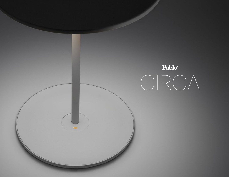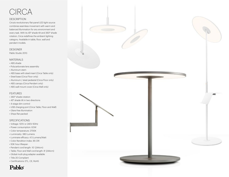# CIRCA

### **DESCRIPTION**

Circa's revolutionary flat-panel LED light source combines seamless movement with warm and balanced illumination for any environment and every task. With its 45° shade tilt and 360° shade rotation, Circa redefines the ambient lighting category. Available in table, floor, wall and pendant models.

### **DESIGNER**

Pablo Studio 2013

### MATERIALS

- ABS shade
- Polycarbonate lens assembly
- Aluminum stem
- ABS base with steel insert (Circa Table only)
- Steel base (Circa Floor only)
- Aluminum / steel pedestal (Circa Floor only)
- ABS canopy (Circa Pendant only)
- ABS wall mount cover (Circa Wall only)

### FEATURES

- 360° shade rotation
- 45° shade tilt in two directions
- 4-stage dim control
- USB charging port (Circa Table, Floor and Wall)
- Glare-free illumination
- Ships flat-packed

### SPECIFICATIONS

- Voltage: 120V or 240V 60Hz
- Power consumption: 8.5W
- Color temperature: 2700K
- Luminosity: 380 Lumens
- Luminaire efficacy: 45 Lumens/Watt
- Color Rendition Index: 85 CRI
- 50K hour lifespan
- Pendant cord length: 10' (244cm)
- Table, Floor and Wall cord length: 8' (244cm)
- Global multi-plug adapter available
- Title 20 Compliant
- Certifications: ETL, CE, RoHS